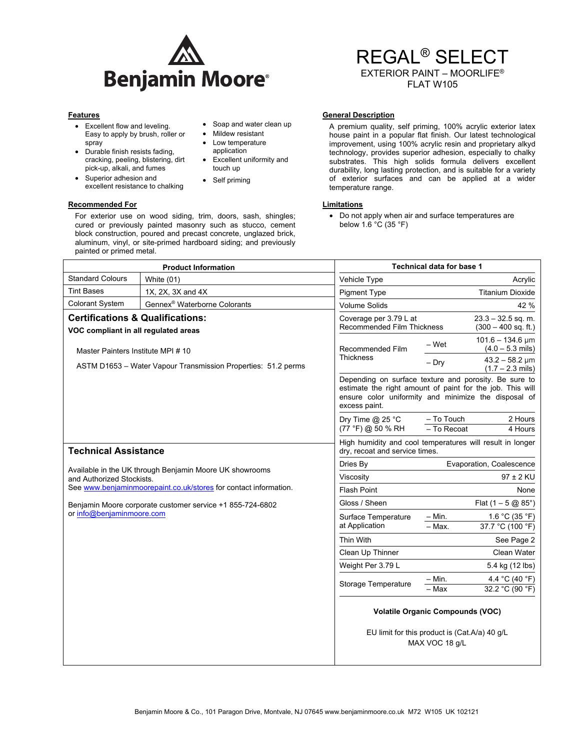

• Soap and water clean up • Mildew resistant • Low temperature application Excellent uniformity and

touch up • Self priming

# REGAL® SELECT EXTERIOR PAINT – MOORLIFE®

FLAT W105

- Excellent flow and leveling. Easy to apply by brush, roller or spray
- Durable finish resists fading, cracking, peeling, blistering, dirt pick-up, alkali, and fumes
- Superior adhesion and excellent resistance to chalking

#### **Recommended For Limitations Commended For Limitations**

For exterior use on wood siding, trim, doors, sash, shingles; cured or previously painted masonry such as stucco, cement block construction, poured and precast concrete, unglazed brick, aluminum, vinyl, or site-primed hardboard siding; and previously painted or primed metal.

### **Features General Description Contract Description Contract Description Contract Description**

A premium quality, self priming, 100% acrylic exterior latex house paint in a popular flat finish. Our latest technological improvement, using 100% acrylic resin and proprietary alkyd technology, provides superior adhesion, especially to chalky substrates. This high solids formula delivers excellent durability, long lasting protection, and is suitable for a variety of exterior surfaces and can be applied at a wider temperature range.

 Do not apply when air and surface temperatures are below  $1.6\degree$ C (35  $\degree$ F)

| <b>Product Information</b>                                                                                                                               |                                          | <b>Technical data for base 1</b>                                                                                                                                                            |                           |                                                   |
|----------------------------------------------------------------------------------------------------------------------------------------------------------|------------------------------------------|---------------------------------------------------------------------------------------------------------------------------------------------------------------------------------------------|---------------------------|---------------------------------------------------|
| <b>Standard Colours</b>                                                                                                                                  | White (01)                               | Vehicle Type                                                                                                                                                                                |                           | Acrylic                                           |
| <b>Tint Bases</b>                                                                                                                                        | 1X, 2X, 3X and 4X                        | <b>Pigment Type</b>                                                                                                                                                                         |                           | <b>Titanium Dioxide</b>                           |
| <b>Colorant System</b>                                                                                                                                   | Gennex <sup>®</sup> Waterborne Colorants | <b>Volume Solids</b>                                                                                                                                                                        |                           | 42 %                                              |
| <b>Certifications &amp; Qualifications:</b><br>VOC compliant in all regulated areas                                                                      |                                          | Coverage per 3.79 L at<br>Recommended Film Thickness                                                                                                                                        |                           | $23.3 - 32.5$ sq. m.<br>$(300 - 400$ sq. ft.)     |
| Master Painters Institute MPI #10<br>ASTM D1653 - Water Vapour Transmission Properties: 51.2 perms                                                       |                                          | Recommended Film<br><b>Thickness</b>                                                                                                                                                        | – Wet                     | $101.6 - 134.6 \,\text{µm}$<br>$(4.0 - 5.3$ mils) |
|                                                                                                                                                          |                                          |                                                                                                                                                                                             | $-$ Dry                   | $43.2 - 58.2$ µm<br>$(1.7 - 2.3$ mils)            |
|                                                                                                                                                          |                                          | Depending on surface texture and porosity. Be sure to<br>estimate the right amount of paint for the job. This will<br>ensure color uniformity and minimize the disposal of<br>excess paint. |                           |                                                   |
|                                                                                                                                                          |                                          | Dry Time $@$ 25 °C<br>(77 °F) @ 50 % RH                                                                                                                                                     | - To Touch<br>- To Recoat | 2 Hours<br>4 Hours                                |
| <b>Technical Assistance</b>                                                                                                                              |                                          | High humidity and cool temperatures will result in longer<br>dry, recoat and service times.                                                                                                 |                           |                                                   |
|                                                                                                                                                          |                                          | Dries By                                                                                                                                                                                    | Evaporation, Coalescence  |                                                   |
| Available in the UK through Benjamin Moore UK showrooms<br>and Authorized Stockists.<br>See www.benjaminmoorepaint.co.uk/stores for contact information. |                                          | Viscosity                                                                                                                                                                                   |                           | $97 \pm 2$ KU                                     |
|                                                                                                                                                          |                                          | <b>Flash Point</b>                                                                                                                                                                          |                           | None                                              |
| Benjamin Moore corporate customer service +1 855-724-6802<br>or info@benjaminmoore.com                                                                   |                                          | Gloss / Sheen                                                                                                                                                                               |                           | Flat $(1 - 5 \omega 85^\circ)$                    |
|                                                                                                                                                          |                                          | Surface Temperature<br>at Application                                                                                                                                                       | $-$ Min.<br>$-$ Max.      | 1.6 °C (35 °F)<br>37.7 °C (100 °F)                |
|                                                                                                                                                          |                                          | Thin With                                                                                                                                                                                   |                           | See Page 2                                        |
|                                                                                                                                                          |                                          | Clean Up Thinner                                                                                                                                                                            |                           | Clean Water                                       |
|                                                                                                                                                          |                                          | Weight Per 3.79 L                                                                                                                                                                           |                           | 5.4 kg (12 lbs)                                   |
|                                                                                                                                                          |                                          | Storage Temperature                                                                                                                                                                         | $- Min.$                  | 4.4 °C (40 °F)                                    |
|                                                                                                                                                          |                                          |                                                                                                                                                                                             | - Max                     | 32.2 °C (90 °F)                                   |
|                                                                                                                                                          |                                          | <b>Volatile Organic Compounds (VOC)</b>                                                                                                                                                     |                           |                                                   |
|                                                                                                                                                          |                                          | EU limit for this product is (Cat.A/a) 40 g/L<br>MAX VOC 18 q/L                                                                                                                             |                           |                                                   |